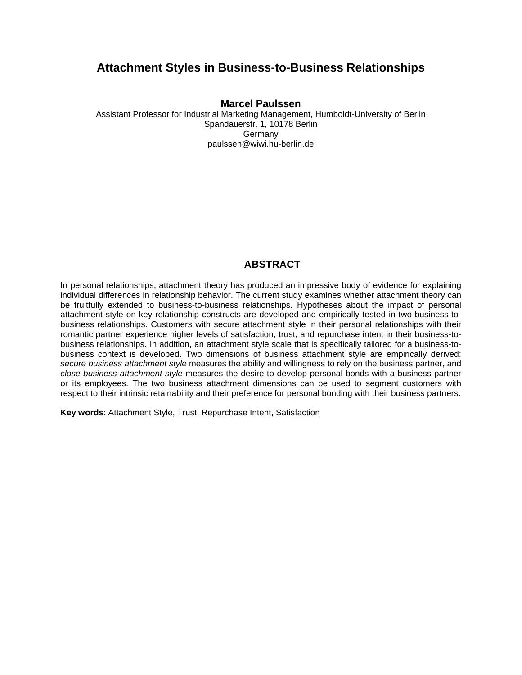# **Attachment Styles in Business-to-Business Relationships**

## **Marcel Paulssen**

Assistant Professor for Industrial Marketing Management, Humboldt-University of Berlin Spandauerstr. 1, 10178 Berlin **Germany** paulssen@wiwi.hu-berlin.de

# **ABSTRACT**

In personal relationships, attachment theory has produced an impressive body of evidence for explaining individual differences in relationship behavior. The current study examines whether attachment theory can be fruitfully extended to business-to-business relationships. Hypotheses about the impact of personal attachment style on key relationship constructs are developed and empirically tested in two business-tobusiness relationships. Customers with secure attachment style in their personal relationships with their romantic partner experience higher levels of satisfaction, trust, and repurchase intent in their business-tobusiness relationships. In addition, an attachment style scale that is specifically tailored for a business-tobusiness context is developed. Two dimensions of business attachment style are empirically derived: *secure business attachment style* measures the ability and willingness to rely on the business partner, and *close business attachment style* measures the desire to develop personal bonds with a business partner or its employees. The two business attachment dimensions can be used to segment customers with respect to their intrinsic retainability and their preference for personal bonding with their business partners.

**Key words**: Attachment Style, Trust, Repurchase Intent, Satisfaction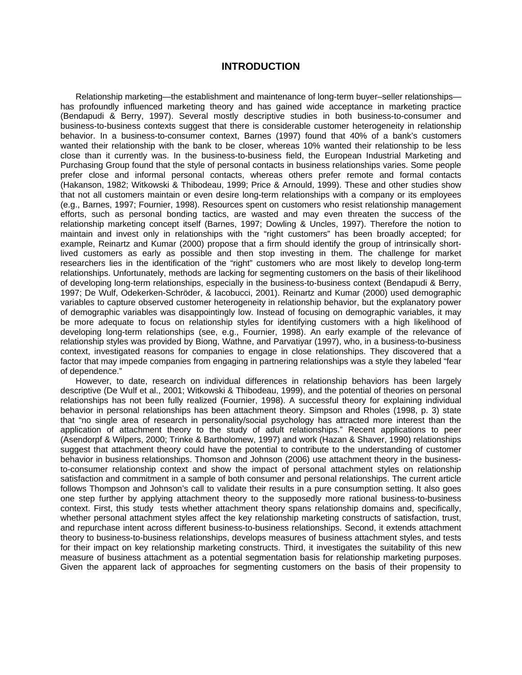### **INTRODUCTION**

Relationship marketing—the establishment and maintenance of long-term buyer–seller relationships has profoundly influenced marketing theory and has gained wide acceptance in marketing practice (Bendapudi & Berry, 1997). Several mostly descriptive studies in both business-to-consumer and business-to-business contexts suggest that there is considerable customer heterogeneity in relationship behavior. In a business-to-consumer context, Barnes (1997) found that 40% of a bank's customers wanted their relationship with the bank to be closer, whereas 10% wanted their relationship to be less close than it currently was. In the business-to-business field, the European Industrial Marketing and Purchasing Group found that the style of personal contacts in business relationships varies. Some people prefer close and informal personal contacts, whereas others prefer remote and formal contacts (Hakanson, 1982; Witkowski & Thibodeau, 1999; Price & Arnould, 1999). These and other studies show that not all customers maintain or even desire long-term relationships with a company or its employees (e.g., Barnes, 1997; Fournier, 1998). Resources spent on customers who resist relationship management efforts, such as personal bonding tactics, are wasted and may even threaten the success of the relationship marketing concept itself (Barnes, 1997; Dowling & Uncles, 1997). Therefore the notion to maintain and invest only in relationships with the "right customers" has been broadly accepted; for example, Reinartz and Kumar (2000) propose that a firm should identify the group of intrinsically shortlived customers as early as possible and then stop investing in them. The challenge for market researchers lies in the identification of the "right" customers who are most likely to develop long-term relationships. Unfortunately, methods are lacking for segmenting customers on the basis of their likelihood of developing long-term relationships, especially in the business-to-business context (Bendapudi & Berry, 1997; De Wulf, Odekerken-Schröder, & Iacobucci, 2001). Reinartz and Kumar (2000) used demographic variables to capture observed customer heterogeneity in relationship behavior, but the explanatory power of demographic variables was disappointingly low. Instead of focusing on demographic variables, it may be more adequate to focus on relationship styles for identifying customers with a high likelihood of developing long-term relationships (see, e.g., Fournier, 1998). An early example of the relevance of relationship styles was provided by Biong, Wathne, and Parvatiyar (1997), who, in a business-to-business context, investigated reasons for companies to engage in close relationships. They discovered that a factor that may impede companies from engaging in partnering relationships was a style they labeled "fear of dependence."

However, to date, research on individual differences in relationship behaviors has been largely descriptive (De Wulf et al., 2001; Witkowski & Thibodeau, 1999), and the potential of theories on personal relationships has not been fully realized (Fournier, 1998). A successful theory for explaining individual behavior in personal relationships has been attachment theory. Simpson and Rholes (1998, p. 3) state that "no single area of research in personality/social psychology has attracted more interest than the application of attachment theory to the study of adult relationships." Recent applications to peer (Asendorpf & Wilpers, 2000; Trinke & Bartholomew, 1997) and work (Hazan & Shaver, 1990) relationships suggest that attachment theory could have the potential to contribute to the understanding of customer behavior in business relationships. Thomson and Johnson (2006) use attachment theory in the businessto-consumer relationship context and show the impact of personal attachment styles on relationship satisfaction and commitment in a sample of both consumer and personal relationships. The current article follows Thompson and Johnson's call to validate their results in a pure consumption setting. It also goes one step further by applying attachment theory to the supposedly more rational business-to-business context. First, this study tests whether attachment theory spans relationship domains and, specifically, whether personal attachment styles affect the key relationship marketing constructs of satisfaction, trust, and repurchase intent across different business-to-business relationships. Second, it extends attachment theory to business-to-business relationships, develops measures of business attachment styles, and tests for their impact on key relationship marketing constructs. Third, it investigates the suitability of this new measure of business attachment as a potential segmentation basis for relationship marketing purposes. Given the apparent lack of approaches for segmenting customers on the basis of their propensity to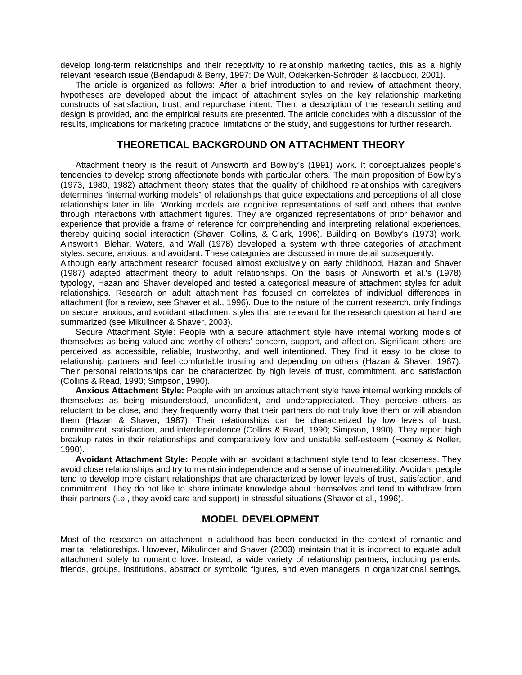develop long-term relationships and their receptivity to relationship marketing tactics, this as a highly relevant research issue (Bendapudi & Berry, 1997; De Wulf, Odekerken-Schröder, & Iacobucci, 2001).

The article is organized as follows: After a brief introduction to and review of attachment theory, hypotheses are developed about the impact of attachment styles on the key relationship marketing constructs of satisfaction, trust, and repurchase intent. Then, a description of the research setting and design is provided, and the empirical results are presented. The article concludes with a discussion of the results, implications for marketing practice, limitations of the study, and suggestions for further research.

## **THEORETICAL BACKGROUND ON ATTACHMENT THEORY**

Attachment theory is the result of Ainsworth and Bowlby's (1991) work. It conceptualizes people's tendencies to develop strong affectionate bonds with particular others. The main proposition of Bowlby's (1973, 1980, 1982) attachment theory states that the quality of childhood relationships with caregivers determines "internal working models" of relationships that guide expectations and perceptions of all close relationships later in life. Working models are cognitive representations of self and others that evolve through interactions with attachment figures. They are organized representations of prior behavior and experience that provide a frame of reference for comprehending and interpreting relational experiences, thereby guiding social interaction (Shaver, Collins, & Clark, 1996). Building on Bowlby's (1973) work, Ainsworth, Blehar, Waters, and Wall (1978) developed a system with three categories of attachment styles: secure, anxious, and avoidant. These categories are discussed in more detail subsequently.

Although early attachment research focused almost exclusively on early childhood, Hazan and Shaver (1987) adapted attachment theory to adult relationships. On the basis of Ainsworth et al.'s (1978) typology, Hazan and Shaver developed and tested a categorical measure of attachment styles for adult relationships. Research on adult attachment has focused on correlates of individual differences in attachment (for a review, see Shaver et al., 1996). Due to the nature of the current research, only findings on secure, anxious, and avoidant attachment styles that are relevant for the research question at hand are summarized (see Mikulincer & Shaver, 2003).

Secure Attachment Style: People with a secure attachment style have internal working models of themselves as being valued and worthy of others' concern, support, and affection. Significant others are perceived as accessible, reliable, trustworthy, and well intentioned. They find it easy to be close to relationship partners and feel comfortable trusting and depending on others (Hazan & Shaver, 1987). Their personal relationships can be characterized by high levels of trust, commitment, and satisfaction (Collins & Read, 1990; Simpson, 1990).

**Anxious Attachment Style:** People with an anxious attachment style have internal working models of themselves as being misunderstood, unconfident, and underappreciated. They perceive others as reluctant to be close, and they frequently worry that their partners do not truly love them or will abandon them (Hazan & Shaver, 1987). Their relationships can be characterized by low levels of trust, commitment, satisfaction, and interdependence (Collins & Read, 1990; Simpson, 1990). They report high breakup rates in their relationships and comparatively low and unstable self-esteem (Feeney & Noller, 1990).

**Avoidant Attachment Style:** People with an avoidant attachment style tend to fear closeness. They avoid close relationships and try to maintain independence and a sense of invulnerability. Avoidant people tend to develop more distant relationships that are characterized by lower levels of trust, satisfaction, and commitment. They do not like to share intimate knowledge about themselves and tend to withdraw from their partners (i.e., they avoid care and support) in stressful situations (Shaver et al., 1996).

## **MODEL DEVELOPMENT**

Most of the research on attachment in adulthood has been conducted in the context of romantic and marital relationships. However, Mikulincer and Shaver (2003) maintain that it is incorrect to equate adult attachment solely to romantic love. Instead, a wide variety of relationship partners, including parents, friends, groups, institutions, abstract or symbolic figures, and even managers in organizational settings,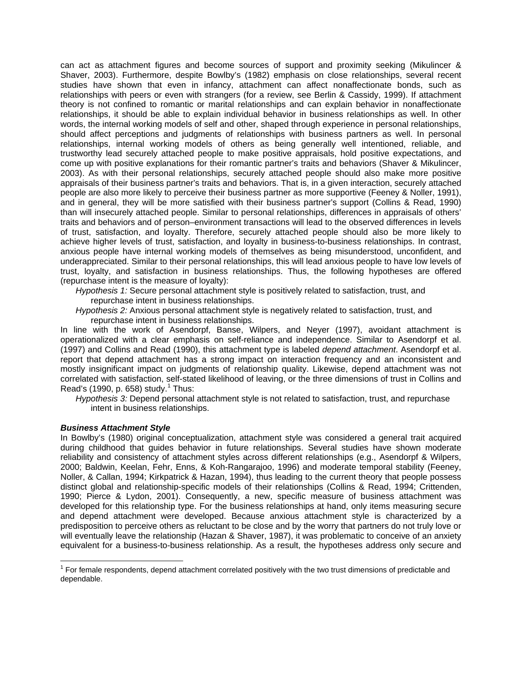can act as attachment figures and become sources of support and proximity seeking (Mikulincer & Shaver, 2003). Furthermore, despite Bowlby's (1982) emphasis on close relationships, several recent studies have shown that even in infancy, attachment can affect nonaffectionate bonds, such as relationships with peers or even with strangers (for a review, see Berlin & Cassidy, 1999). If attachment theory is not confined to romantic or marital relationships and can explain behavior in nonaffectionate relationships, it should be able to explain individual behavior in business relationships as well. In other words, the internal working models of self and other, shaped through experience in personal relationships, should affect perceptions and judgments of relationships with business partners as well. In personal relationships, internal working models of others as being generally well intentioned, reliable, and trustworthy lead securely attached people to make positive appraisals, hold positive expectations, and come up with positive explanations for their romantic partner's traits and behaviors (Shaver & Mikulincer, 2003). As with their personal relationships, securely attached people should also make more positive appraisals of their business partner's traits and behaviors. That is, in a given interaction, securely attached people are also more likely to perceive their business partner as more supportive (Feeney & Noller, 1991), and in general, they will be more satisfied with their business partner's support (Collins & Read, 1990) than will insecurely attached people. Similar to personal relationships, differences in appraisals of others' traits and behaviors and of person–environment transactions will lead to the observed differences in levels of trust, satisfaction, and loyalty. Therefore, securely attached people should also be more likely to achieve higher levels of trust, satisfaction, and loyalty in business-to-business relationships. In contrast, anxious people have internal working models of themselves as being misunderstood, unconfident, and underappreciated. Similar to their personal relationships, this will lead anxious people to have low levels of trust, loyalty, and satisfaction in business relationships. Thus, the following hypotheses are offered (repurchase intent is the measure of loyalty):

*Hypothesis 1:* Secure personal attachment style is positively related to satisfaction, trust, and repurchase intent in business relationships.

*Hypothesis 2:* Anxious personal attachment style is negatively related to satisfaction, trust, and repurchase intent in business relationships.

In line with the work of Asendorpf, Banse, Wilpers, and Neyer (1997), avoidant attachment is operationalized with a clear emphasis on self-reliance and independence. Similar to Asendorpf et al. (1997) and Collins and Read (1990), this attachment type is labeled *depend attachment*. Asendorpf et al. report that depend attachment has a strong impact on interaction frequency and an inconsistent and mostly insignificant impact on judgments of relationship quality. Likewise, depend attachment was not correlated with satisfaction, self-stated likelihood of leaving, or the three dimensions of trust in Collins and Read's (1990, p. 658) study.<sup>1</sup> Thus:

*Hypothesis 3:* Depend personal attachment style is not related to satisfaction, trust, and repurchase intent in business relationships.

#### *Business Attachment Style*

 $\overline{a}$ 

In Bowlby's (1980) original conceptualization, attachment style was considered a general trait acquired during childhood that guides behavior in future relationships. Several studies have shown moderate reliability and consistency of attachment styles across different relationships (e.g., Asendorpf & Wilpers, 2000; Baldwin, Keelan, Fehr, Enns, & Koh-Rangarajoo, 1996) and moderate temporal stability (Feeney, Noller, & Callan, 1994; Kirkpatrick & Hazan, 1994), thus leading to the current theory that people possess distinct global and relationship-specific models of their relationships (Collins & Read, 1994; Crittenden, 1990; Pierce & Lydon, 2001). Consequently, a new, specific measure of business attachment was developed for this relationship type. For the business relationships at hand, only items measuring secure and depend attachment were developed. Because anxious attachment style is characterized by a predisposition to perceive others as reluctant to be close and by the worry that partners do not truly love or will eventually leave the relationship (Hazan & Shaver, 1987), it was problematic to conceive of an anxiety equivalent for a business-to-business relationship. As a result, the hypotheses address only secure and

<sup>&</sup>lt;sup>1</sup> For female respondents, depend attachment correlated positively with the two trust dimensions of predictable and dependable.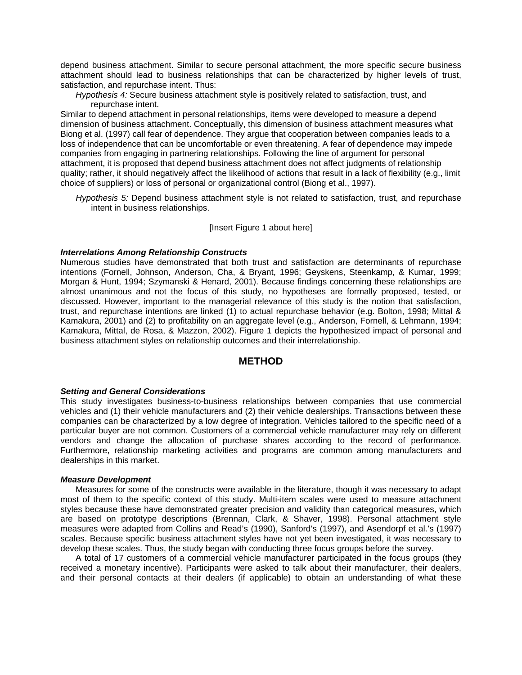depend business attachment. Similar to secure personal attachment, the more specific secure business attachment should lead to business relationships that can be characterized by higher levels of trust, satisfaction, and repurchase intent. Thus:

*Hypothesis 4:* Secure business attachment style is positively related to satisfaction, trust, and repurchase intent.

Similar to depend attachment in personal relationships, items were developed to measure a depend dimension of business attachment. Conceptually, this dimension of business attachment measures what Biong et al. (1997) call fear of dependence. They argue that cooperation between companies leads to a loss of independence that can be uncomfortable or even threatening. A fear of dependence may impede companies from engaging in partnering relationships. Following the line of argument for personal attachment, it is proposed that depend business attachment does not affect judgments of relationship quality; rather, it should negatively affect the likelihood of actions that result in a lack of flexibility (e.g., limit choice of suppliers) or loss of personal or organizational control (Biong et al., 1997).

*Hypothesis 5:* Depend business attachment style is not related to satisfaction, trust, and repurchase intent in business relationships.

#### [Insert Figure 1 about here]

#### *Interrelations Among Relationship Constructs*

Numerous studies have demonstrated that both trust and satisfaction are determinants of repurchase intentions (Fornell, Johnson, Anderson, Cha, & Bryant, 1996; Geyskens, Steenkamp, & Kumar, 1999; Morgan & Hunt, 1994; Szymanski & Henard, 2001). Because findings concerning these relationships are almost unanimous and not the focus of this study, no hypotheses are formally proposed, tested, or discussed. However, important to the managerial relevance of this study is the notion that satisfaction, trust, and repurchase intentions are linked (1) to actual repurchase behavior (e.g. Bolton, 1998; Mittal & Kamakura, 2001) and (2) to profitability on an aggregate level (e.g., Anderson, Fornell, & Lehmann, 1994; Kamakura, Mittal, de Rosa, & Mazzon, 2002). Figure 1 depicts the hypothesized impact of personal and business attachment styles on relationship outcomes and their interrelationship.

## **METHOD**

#### *Setting and General Considerations*

This study investigates business-to-business relationships between companies that use commercial vehicles and (1) their vehicle manufacturers and (2) their vehicle dealerships. Transactions between these companies can be characterized by a low degree of integration. Vehicles tailored to the specific need of a particular buyer are not common. Customers of a commercial vehicle manufacturer may rely on different vendors and change the allocation of purchase shares according to the record of performance. Furthermore, relationship marketing activities and programs are common among manufacturers and dealerships in this market.

#### *Measure Development*

Measures for some of the constructs were available in the literature, though it was necessary to adapt most of them to the specific context of this study. Multi-item scales were used to measure attachment styles because these have demonstrated greater precision and validity than categorical measures, which are based on prototype descriptions (Brennan, Clark, & Shaver, 1998). Personal attachment style measures were adapted from Collins and Read's (1990), Sanford's (1997), and Asendorpf et al.'s (1997) scales. Because specific business attachment styles have not yet been investigated, it was necessary to develop these scales. Thus, the study began with conducting three focus groups before the survey.

A total of 17 customers of a commercial vehicle manufacturer participated in the focus groups (they received a monetary incentive). Participants were asked to talk about their manufacturer, their dealers, and their personal contacts at their dealers (if applicable) to obtain an understanding of what these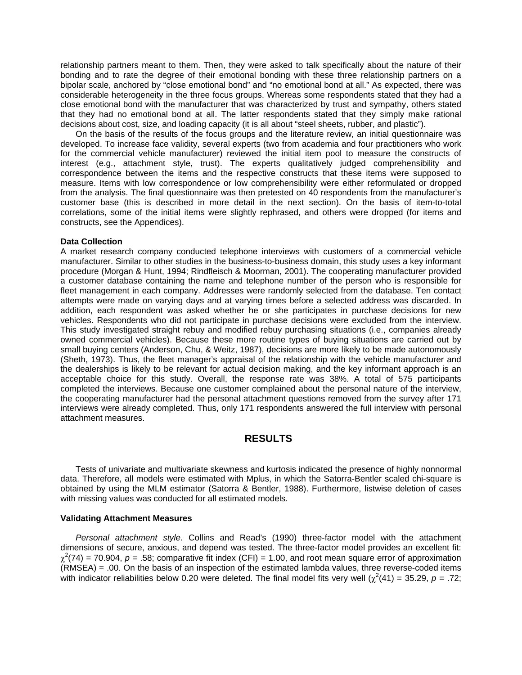relationship partners meant to them. Then, they were asked to talk specifically about the nature of their bonding and to rate the degree of their emotional bonding with these three relationship partners on a bipolar scale, anchored by "close emotional bond" and "no emotional bond at all." As expected, there was considerable heterogeneity in the three focus groups. Whereas some respondents stated that they had a close emotional bond with the manufacturer that was characterized by trust and sympathy, others stated that they had no emotional bond at all. The latter respondents stated that they simply make rational decisions about cost, size, and loading capacity (it is all about "steel sheets, rubber, and plastic").

On the basis of the results of the focus groups and the literature review, an initial questionnaire was developed. To increase face validity, several experts (two from academia and four practitioners who work for the commercial vehicle manufacturer) reviewed the initial item pool to measure the constructs of interest (e.g., attachment style, trust). The experts qualitatively judged comprehensibility and correspondence between the items and the respective constructs that these items were supposed to measure. Items with low correspondence or low comprehensibility were either reformulated or dropped from the analysis. The final questionnaire was then pretested on 40 respondents from the manufacturer's customer base (this is described in more detail in the next section). On the basis of item-to-total correlations, some of the initial items were slightly rephrased, and others were dropped (for items and constructs, see the Appendices).

#### **Data Collection**

A market research company conducted telephone interviews with customers of a commercial vehicle manufacturer. Similar to other studies in the business-to-business domain, this study uses a key informant procedure (Morgan & Hunt, 1994; Rindfleisch & Moorman, 2001). The cooperating manufacturer provided a customer database containing the name and telephone number of the person who is responsible for fleet management in each company. Addresses were randomly selected from the database. Ten contact attempts were made on varying days and at varying times before a selected address was discarded. In addition, each respondent was asked whether he or she participates in purchase decisions for new vehicles. Respondents who did not participate in purchase decisions were excluded from the interview. This study investigated straight rebuy and modified rebuy purchasing situations (i.e., companies already owned commercial vehicles). Because these more routine types of buying situations are carried out by small buying centers (Anderson, Chu, & Weitz, 1987), decisions are more likely to be made autonomously (Sheth, 1973). Thus, the fleet manager's appraisal of the relationship with the vehicle manufacturer and the dealerships is likely to be relevant for actual decision making, and the key informant approach is an acceptable choice for this study. Overall, the response rate was 38%. A total of 575 participants completed the interviews. Because one customer complained about the personal nature of the interview, the cooperating manufacturer had the personal attachment questions removed from the survey after 171 interviews were already completed. Thus, only 171 respondents answered the full interview with personal attachment measures.

## **RESULTS**

Tests of univariate and multivariate skewness and kurtosis indicated the presence of highly nonnormal data. Therefore, all models were estimated with Mplus, in which the Satorra-Bentler scaled chi-square is obtained by using the MLM estimator (Satorra & Bentler, 1988). Furthermore, listwise deletion of cases with missing values was conducted for all estimated models.

#### **Validating Attachment Measures**

*Personal attachment style*. Collins and Read's (1990) three-factor model with the attachment dimensions of secure, anxious, and depend was tested. The three-factor model provides an excellent fit:  $\chi^2(74)$  = 70.904, *p* = .58; comparative fit index (CFI) = 1.00, and root mean square error of approximation (RMSEA) = .00. On the basis of an inspection of the estimated lambda values, three reverse-coded items with indicator reliabilities below 0.20 were deleted. The final model fits very well  $(\chi^2(41) = 35.29, p = .72;$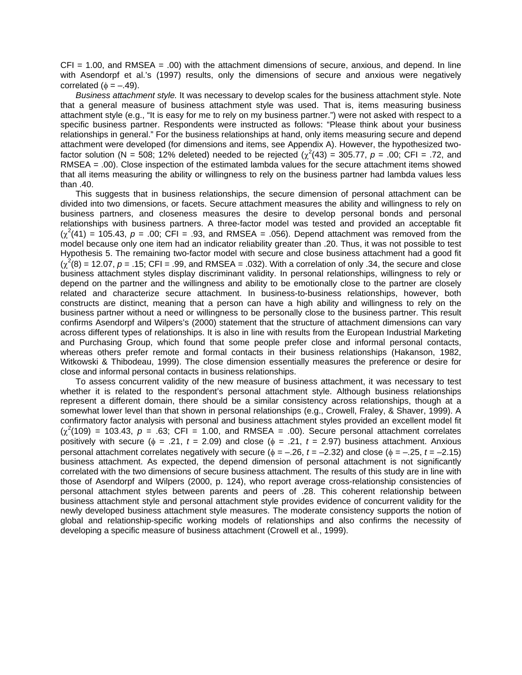$CFI = 1.00$ , and RMSEA =  $.00$ ) with the attachment dimensions of secure, anxious, and depend. In line with Asendorpf et al.'s (1997) results, only the dimensions of secure and anxious were negatively correlated ( $\phi = -.49$ ).

*Business attachment style.* It was necessary to develop scales for the business attachment style. Note that a general measure of business attachment style was used. That is, items measuring business attachment style (e.g., "It is easy for me to rely on my business partner.") were not asked with respect to a specific business partner. Respondents were instructed as follows: "Please think about your business relationships in general." For the business relationships at hand, only items measuring secure and depend attachment were developed (for dimensions and items, see Appendix A). However, the hypothesized twofactor solution (N = 508; 12% deleted) needed to be rejected  $(\chi^2(43) = 305.77, p = .00; CFI = .72,$  and RMSEA = .00). Close inspection of the estimated lambda values for the secure attachment items showed that all items measuring the ability or willingness to rely on the business partner had lambda values less than .40.

This suggests that in business relationships, the secure dimension of personal attachment can be divided into two dimensions, or facets. Secure attachment measures the ability and willingness to rely on business partners, and closeness measures the desire to develop personal bonds and personal relationships with business partners. A three-factor model was tested and provided an acceptable fit  $(\chi^2(41) = 105.43, p = .00; CFI = .93,$  and RMSEA = .056). Depend attachment was removed from the model because only one item had an indicator reliability greater than .20. Thus, it was not possible to test Hypothesis 5. The remaining two-factor model with secure and close business attachment had a good fit  $(\chi^2(8) = 12.07, p = .15; CFI = .99$ , and RMSEA = .032). With a correlation of only .34, the secure and close business attachment styles display discriminant validity. In personal relationships, willingness to rely or depend on the partner and the willingness and ability to be emotionally close to the partner are closely related and characterize secure attachment. In business-to-business relationships, however, both constructs are distinct, meaning that a person can have a high ability and willingness to rely on the business partner without a need or willingness to be personally close to the business partner. This result confirms Asendorpf and Wilpers's (2000) statement that the structure of attachment dimensions can vary across different types of relationships. It is also in line with results from the European Industrial Marketing and Purchasing Group, which found that some people prefer close and informal personal contacts, whereas others prefer remote and formal contacts in their business relationships (Hakanson, 1982, Witkowski & Thibodeau, 1999). The close dimension essentially measures the preference or desire for close and informal personal contacts in business relationships.

To assess concurrent validity of the new measure of business attachment, it was necessary to test whether it is related to the respondent's personal attachment style. Although business relationships represent a different domain, there should be a similar consistency across relationships, though at a somewhat lower level than that shown in personal relationships (e.g., Crowell, Fraley, & Shaver, 1999). A confirmatory factor analysis with personal and business attachment styles provided an excellent model fit  $(\chi^2(109) = 103.43, p = .63; CFI = 1.00, and RMSEA = .00).$  Secure personal attachment correlates positively with secure ( $\phi = .21$ ,  $t = 2.09$ ) and close ( $\phi = .21$ ,  $t = 2.97$ ) business attachment. Anxious personal attachment correlates negatively with secure ( $\phi = -.26$ ,  $t = -2.32$ ) and close ( $\phi = -.25$ ,  $t = -2.15$ ) business attachment. As expected, the depend dimension of personal attachment is not significantly correlated with the two dimensions of secure business attachment. The results of this study are in line with those of Asendorpf and Wilpers (2000, p. 124), who report average cross-relationship consistencies of personal attachment styles between parents and peers of .28. This coherent relationship between business attachment style and personal attachment style provides evidence of concurrent validity for the newly developed business attachment style measures. The moderate consistency supports the notion of global and relationship-specific working models of relationships and also confirms the necessity of developing a specific measure of business attachment (Crowell et al., 1999).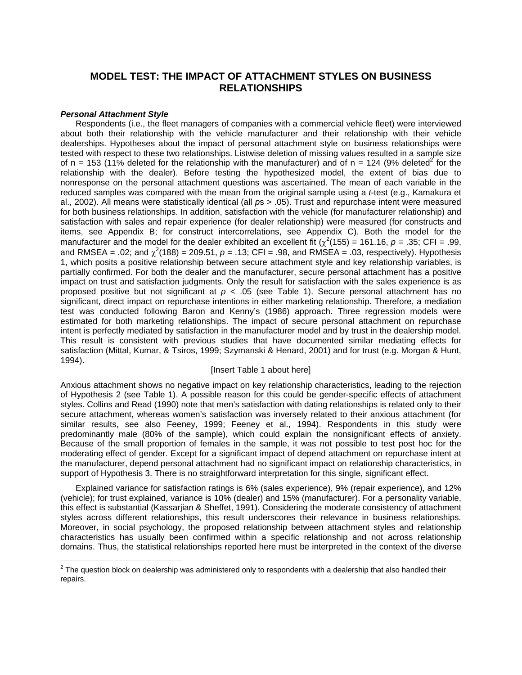# **MODEL TEST: THE IMPACT OF ATTACHMENT STYLES ON BUSINESS RELATIONSHIPS**

#### *Personal Attachment Style*

Respondents (i.e., the fleet managers of companies with a commercial vehicle fleet) were interviewed about both their relationship with the vehicle manufacturer and their relationship with their vehicle dealerships. Hypotheses about the impact of personal attachment style on business relationships were tested with respect to these two relationships. Listwise deletion of missing values resulted in a sample size of n = 153 (11% deleted for the relationship with the manufacturer) and of n = 124 (9% deleted<sup>2</sup> for the relationship with the dealer). Before testing the hypothesized model, the extent of bias due to nonresponse on the personal attachment questions was ascertained. The mean of each variable in the reduced samples was compared with the mean from the original sample using a *t*-test (e.g., Kamakura et al., 2002). All means were statistically identical (all *p*s > .05). Trust and repurchase intent were measured for both business relationships. In addition, satisfaction with the vehicle (for manufacturer relationship) and satisfaction with sales and repair experience (for dealer relationship) were measured (for constructs and items, see Appendix B; for construct intercorrelations, see Appendix C). Both the model for the manufacturer and the model for the dealer exhibited an excellent fit  $(\chi^2(155) = 161.16, p = .35; CFI = .99,$ and RMSEA = .02; and  $\chi^2(188)$  = 209.51,  $p = .13$ ; CFI = .98, and RMSEA = .03, respectively). Hypothesis 1, which posits a positive relationship between secure attachment style and key relationship variables, is partially confirmed. For both the dealer and the manufacturer, secure personal attachment has a positive impact on trust and satisfaction judgments. Only the result for satisfaction with the sales experience is as proposed positive but not significant at *p* < .05 (see Table 1). Secure personal attachment has no significant, direct impact on repurchase intentions in either marketing relationship. Therefore, a mediation test was conducted following Baron and Kenny's (1986) approach. Three regression models were estimated for both marketing relationships. The impact of secure personal attachment on repurchase intent is perfectly mediated by satisfaction in the manufacturer model and by trust in the dealership model. This result is consistent with previous studies that have documented similar mediating effects for satisfaction (Mittal, Kumar, & Tsiros, 1999; Szymanski & Henard, 2001) and for trust (e.g. Morgan & Hunt, 1994).

#### [Insert Table 1 about here]

Anxious attachment shows no negative impact on key relationship characteristics, leading to the rejection of Hypothesis 2 (see Table 1). A possible reason for this could be gender-specific effects of attachment styles. Collins and Read (1990) note that men's satisfaction with dating relationships is related only to their secure attachment, whereas women's satisfaction was inversely related to their anxious attachment (for similar results, see also Feeney, 1999; Feeney et al., 1994). Respondents in this study were predominantly male (80% of the sample), which could explain the nonsignificant effects of anxiety. Because of the small proportion of females in the sample, it was not possible to test post hoc for the moderating effect of gender. Except for a significant impact of depend attachment on repurchase intent at the manufacturer, depend personal attachment had no significant impact on relationship characteristics, in support of Hypothesis 3. There is no straightforward interpretation for this single, significant effect.

Explained variance for satisfaction ratings is 6% (sales experience), 9% (repair experience), and 12% (vehicle); for trust explained, variance is 10% (dealer) and 15% (manufacturer). For a personality variable, this effect is substantial (Kassarjian & Sheffet, 1991). Considering the moderate consistency of attachment styles across different relationships, this result underscores their relevance in business relationships. Moreover, in social psychology, the proposed relationship between attachment styles and relationship characteristics has usually been confirmed within a specific relationship and not across relationship domains. Thus, the statistical relationships reported here must be interpreted in the context of the diverse

 2 The question block on dealership was administered only to respondents with a dealership that also handled their repairs.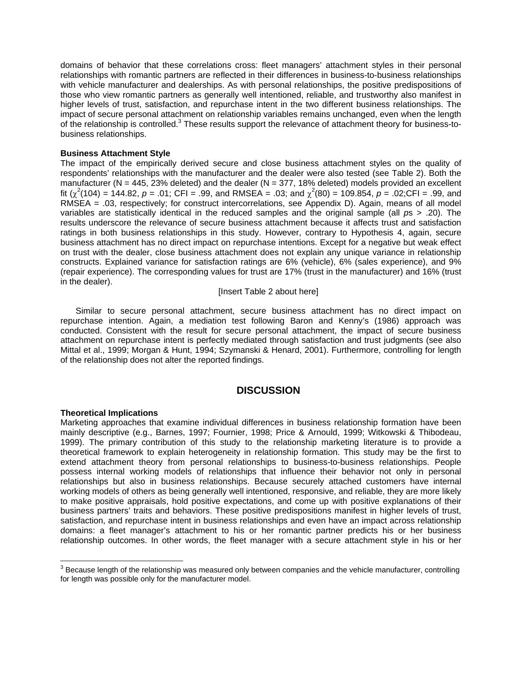domains of behavior that these correlations cross: fleet managers' attachment styles in their personal relationships with romantic partners are reflected in their differences in business-to-business relationships with vehicle manufacturer and dealerships. As with personal relationships, the positive predispositions of those who view romantic partners as generally well intentioned, reliable, and trustworthy also manifest in higher levels of trust, satisfaction, and repurchase intent in the two different business relationships. The impact of secure personal attachment on relationship variables remains unchanged, even when the length of the relationship is controlled.<sup>3</sup> These results support the relevance of attachment theory for business-tobusiness relationships.

#### **Business Attachment Style**

The impact of the empirically derived secure and close business attachment styles on the quality of respondents' relationships with the manufacturer and the dealer were also tested (see Table 2). Both the manufacturer (N = 445, 23% deleted) and the dealer (N = 377, 18% deleted) models provided an excellent fit ( $\chi^2(104)$  = 144.82, *p* = .01; CFI = .99, and RMSEA = .03; and  $\chi^2(80)$  = 109.854, *p* = .02;CFI = .99, and RMSEA = .03, respectively; for construct intercorrelations, see Appendix D). Again, means of all model variables are statistically identical in the reduced samples and the original sample (all *p*s > .20). The results underscore the relevance of secure business attachment because it affects trust and satisfaction ratings in both business relationships in this study. However, contrary to Hypothesis 4, again, secure business attachment has no direct impact on repurchase intentions. Except for a negative but weak effect on trust with the dealer, close business attachment does not explain any unique variance in relationship constructs. Explained variance for satisfaction ratings are 6% (vehicle), 6% (sales experience), and 9% (repair experience). The corresponding values for trust are 17% (trust in the manufacturer) and 16% (trust in the dealer).

#### [Insert Table 2 about here]

Similar to secure personal attachment, secure business attachment has no direct impact on repurchase intention. Again, a mediation test following Baron and Kenny's (1986) approach was conducted. Consistent with the result for secure personal attachment, the impact of secure business attachment on repurchase intent is perfectly mediated through satisfaction and trust judgments (see also Mittal et al., 1999; Morgan & Hunt, 1994; Szymanski & Henard, 2001). Furthermore, controlling for length of the relationship does not alter the reported findings.

## **DISCUSSION**

#### **Theoretical Implications**

Marketing approaches that examine individual differences in business relationship formation have been mainly descriptive (e.g., Barnes, 1997; Fournier, 1998; Price & Arnould, 1999; Witkowski & Thibodeau, 1999). The primary contribution of this study to the relationship marketing literature is to provide a theoretical framework to explain heterogeneity in relationship formation. This study may be the first to extend attachment theory from personal relationships to business-to-business relationships. People possess internal working models of relationships that influence their behavior not only in personal relationships but also in business relationships. Because securely attached customers have internal working models of others as being generally well intentioned, responsive, and reliable, they are more likely to make positive appraisals, hold positive expectations, and come up with positive explanations of their business partners' traits and behaviors. These positive predispositions manifest in higher levels of trust, satisfaction, and repurchase intent in business relationships and even have an impact across relationship domains: a fleet manager's attachment to his or her romantic partner predicts his or her business relationship outcomes. In other words, the fleet manager with a secure attachment style in his or her

 3 Because length of the relationship was measured only between companies and the vehicle manufacturer, controlling for length was possible only for the manufacturer model.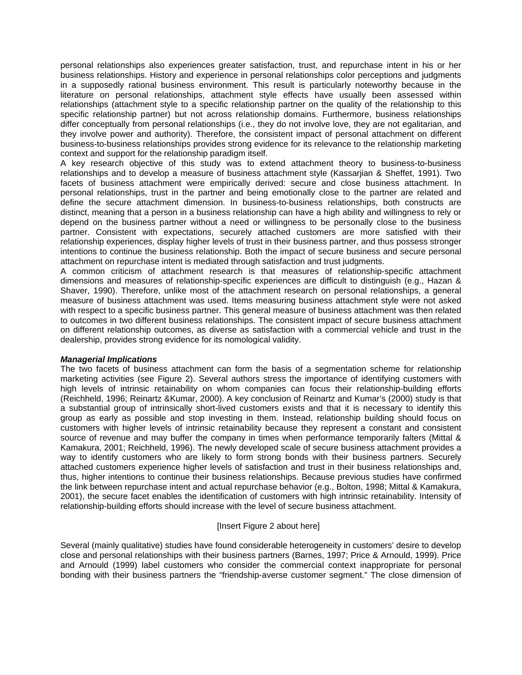personal relationships also experiences greater satisfaction, trust, and repurchase intent in his or her business relationships. History and experience in personal relationships color perceptions and judgments in a supposedly rational business environment. This result is particularly noteworthy because in the literature on personal relationships, attachment style effects have usually been assessed within relationships (attachment style to a specific relationship partner on the quality of the relationship to this specific relationship partner) but not across relationship domains. Furthermore, business relationships differ conceptually from personal relationships (i.e., they do not involve love, they are not egalitarian, and they involve power and authority). Therefore, the consistent impact of personal attachment on different business-to-business relationships provides strong evidence for its relevance to the relationship marketing context and support for the relationship paradigm itself.

A key research objective of this study was to extend attachment theory to business-to-business relationships and to develop a measure of business attachment style (Kassarjian & Sheffet, 1991). Two facets of business attachment were empirically derived: secure and close business attachment. In personal relationships, trust in the partner and being emotionally close to the partner are related and define the secure attachment dimension. In business-to-business relationships, both constructs are distinct, meaning that a person in a business relationship can have a high ability and willingness to rely or depend on the business partner without a need or willingness to be personally close to the business partner. Consistent with expectations, securely attached customers are more satisfied with their relationship experiences, display higher levels of trust in their business partner, and thus possess stronger intentions to continue the business relationship. Both the impact of secure business and secure personal attachment on repurchase intent is mediated through satisfaction and trust judgments.

A common criticism of attachment research is that measures of relationship-specific attachment dimensions and measures of relationship-specific experiences are difficult to distinguish (e.g., Hazan & Shaver, 1990). Therefore, unlike most of the attachment research on personal relationships, a general measure of business attachment was used. Items measuring business attachment style were not asked with respect to a specific business partner. This general measure of business attachment was then related to outcomes in two different business relationships. The consistent impact of secure business attachment on different relationship outcomes, as diverse as satisfaction with a commercial vehicle and trust in the dealership, provides strong evidence for its nomological validity.

#### *Managerial Implications*

The two facets of business attachment can form the basis of a segmentation scheme for relationship marketing activities (see Figure 2). Several authors stress the importance of identifying customers with high levels of intrinsic retainability on whom companies can focus their relationship-building efforts (Reichheld, 1996; Reinartz &Kumar, 2000). A key conclusion of Reinartz and Kumar's (2000) study is that a substantial group of intrinsically short-lived customers exists and that it is necessary to identify this group as early as possible and stop investing in them. Instead, relationship building should focus on customers with higher levels of intrinsic retainability because they represent a constant and consistent source of revenue and may buffer the company in times when performance temporarily falters (Mittal & Kamakura, 2001; Reichheld, 1996). The newly developed scale of secure business attachment provides a way to identify customers who are likely to form strong bonds with their business partners. Securely attached customers experience higher levels of satisfaction and trust in their business relationships and, thus, higher intentions to continue their business relationships. Because previous studies have confirmed the link between repurchase intent and actual repurchase behavior (e.g., Bolton, 1998; Mittal & Kamakura, 2001), the secure facet enables the identification of customers with high intrinsic retainability. Intensity of relationship-building efforts should increase with the level of secure business attachment.

#### [Insert Figure 2 about here]

Several (mainly qualitative) studies have found considerable heterogeneity in customers' desire to develop close and personal relationships with their business partners (Barnes, 1997; Price & Arnould, 1999). Price and Arnould (1999) label customers who consider the commercial context inappropriate for personal bonding with their business partners the "friendship-averse customer segment." The close dimension of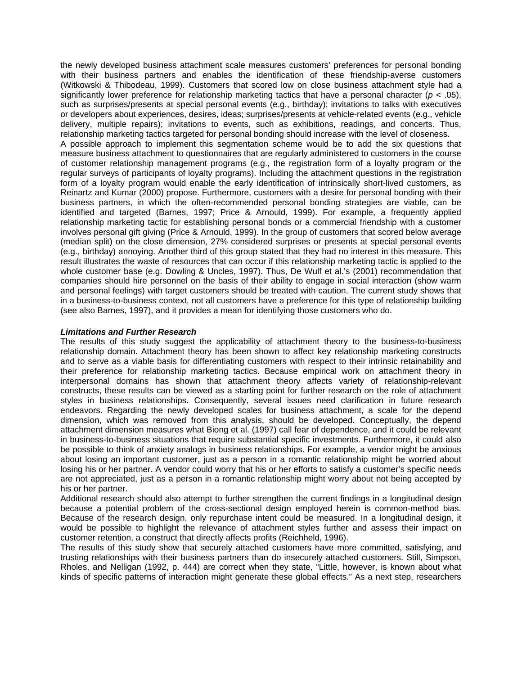the newly developed business attachment scale measures customers' preferences for personal bonding with their business partners and enables the identification of these friendship-averse customers (Witkowski & Thibodeau, 1999). Customers that scored low on close business attachment style had a significantly lower preference for relationship marketing tactics that have a personal character (*p* < .05), such as surprises/presents at special personal events (e.g., birthday); invitations to talks with executives or developers about experiences, desires, ideas; surprises/presents at vehicle-related events (e.g., vehicle delivery, multiple repairs); invitations to events, such as exhibitions, readings, and concerts. Thus, relationship marketing tactics targeted for personal bonding should increase with the level of closeness. A possible approach to implement this segmentation scheme would be to add the six questions that measure business attachment to questionnaires that are regularly administered to customers in the course of customer relationship management programs (e.g., the registration form of a loyalty program or the regular surveys of participants of loyalty programs). Including the attachment questions in the registration form of a loyalty program would enable the early identification of intrinsically short-lived customers, as Reinartz and Kumar (2000) propose. Furthermore, customers with a desire for personal bonding with their business partners, in which the often-recommended personal bonding strategies are viable, can be identified and targeted (Barnes, 1997; Price & Arnould, 1999). For example, a frequently applied relationship marketing tactic for establishing personal bonds or a commercial friendship with a customer involves personal gift giving (Price & Arnould, 1999). In the group of customers that scored below average (median split) on the close dimension, 27% considered surprises or presents at special personal events (e.g., birthday) annoying. Another third of this group stated that they had no interest in this measure. This result illustrates the waste of resources that can occur if this relationship marketing tactic is applied to the whole customer base (e.g. Dowling & Uncles, 1997). Thus, De Wulf et al.'s (2001) recommendation that companies should hire personnel on the basis of their ability to engage in social interaction (show warm and personal feelings) with target customers should be treated with caution. The current study shows that in a business-to-business context, not all customers have a preference for this type of relationship building (see also Barnes, 1997), and it provides a mean for identifying those customers who do.

#### *Limitations and Further Research*

The results of this study suggest the applicability of attachment theory to the business-to-business relationship domain. Attachment theory has been shown to affect key relationship marketing constructs and to serve as a viable basis for differentiating customers with respect to their intrinsic retainability and their preference for relationship marketing tactics. Because empirical work on attachment theory in interpersonal domains has shown that attachment theory affects variety of relationship-relevant constructs, these results can be viewed as a starting point for further research on the role of attachment styles in business relationships. Consequently, several issues need clarification in future research endeavors. Regarding the newly developed scales for business attachment, a scale for the depend dimension, which was removed from this analysis, should be developed. Conceptually, the depend attachment dimension measures what Biong et al. (1997) call fear of dependence, and it could be relevant in business-to-business situations that require substantial specific investments. Furthermore, it could also be possible to think of anxiety analogs in business relationships. For example, a vendor might be anxious about losing an important customer, just as a person in a romantic relationship might be worried about losing his or her partner. A vendor could worry that his or her efforts to satisfy a customer's specific needs are not appreciated, just as a person in a romantic relationship might worry about not being accepted by his or her partner.

Additional research should also attempt to further strengthen the current findings in a longitudinal design because a potential problem of the cross-sectional design employed herein is common-method bias. Because of the research design, only repurchase intent could be measured. In a longitudinal design, it would be possible to highlight the relevance of attachment styles further and assess their impact on customer retention, a construct that directly affects profits (Reichheld, 1996).

The results of this study show that securely attached customers have more committed, satisfying, and trusting relationships with their business partners than do insecurely attached customers. Still, Simpson, Rholes, and Nelligan (1992, p. 444) are correct when they state, "Little, however, is known about what kinds of specific patterns of interaction might generate these global effects." As a next step, researchers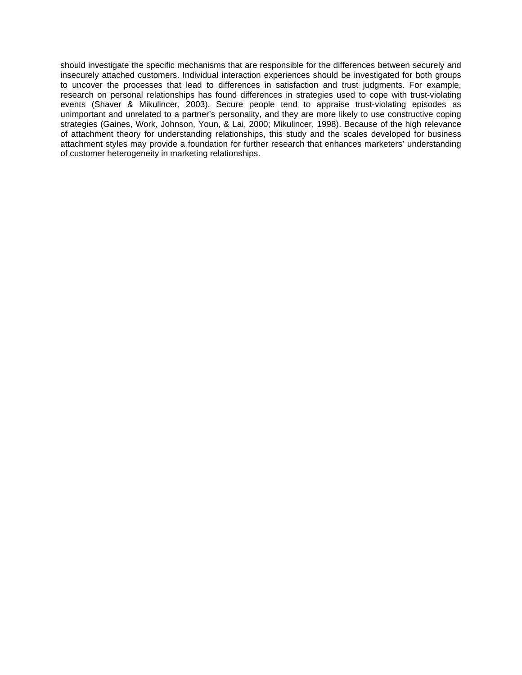should investigate the specific mechanisms that are responsible for the differences between securely and insecurely attached customers. Individual interaction experiences should be investigated for both groups to uncover the processes that lead to differences in satisfaction and trust judgments. For example, research on personal relationships has found differences in strategies used to cope with trust-violating events (Shaver & Mikulincer, 2003). Secure people tend to appraise trust-violating episodes as unimportant and unrelated to a partner's personality, and they are more likely to use constructive coping strategies (Gaines, Work, Johnson, Youn, & Lai, 2000; Mikulincer, 1998). Because of the high relevance of attachment theory for understanding relationships, this study and the scales developed for business attachment styles may provide a foundation for further research that enhances marketers' understanding of customer heterogeneity in marketing relationships.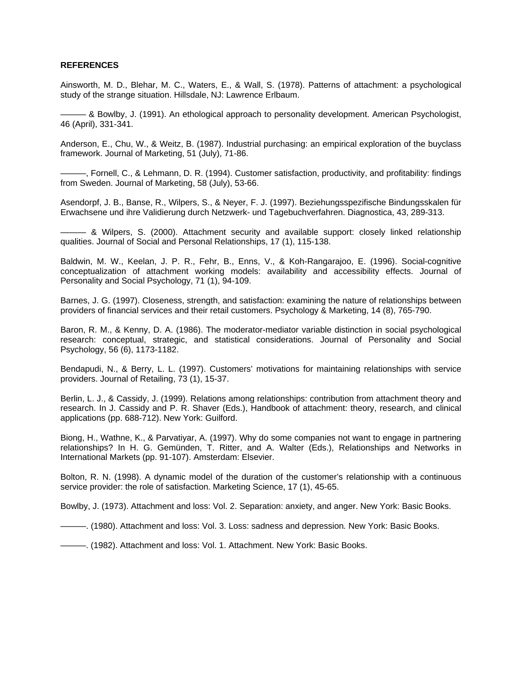#### **REFERENCES**

Ainsworth, M. D., Blehar, M. C., Waters, E., & Wall, S. (1978). Patterns of attachment: a psychological study of the strange situation. Hillsdale, NJ: Lawrence Erlbaum.

——— & Bowlby, J. (1991). An ethological approach to personality development. American Psychologist, 46 (April), 331-341.

Anderson, E., Chu, W., & Weitz, B. (1987). Industrial purchasing: an empirical exploration of the buyclass framework. Journal of Marketing, 51 (July), 71-86.

———, Fornell, C., & Lehmann, D. R. (1994). Customer satisfaction, productivity, and profitability: findings from Sweden. Journal of Marketing, 58 (July), 53-66.

Asendorpf, J. B., Banse, R., Wilpers, S., & Neyer, F. J. (1997). Beziehungsspezifische Bindungsskalen für Erwachsene und ihre Validierung durch Netzwerk- und Tagebuchverfahren. Diagnostica, 43, 289-313.

- & Wilpers, S. (2000). Attachment security and available support: closely linked relationship qualities. Journal of Social and Personal Relationships, 17 (1), 115-138.

Baldwin, M. W., Keelan, J. P. R., Fehr, B., Enns, V., & Koh-Rangarajoo, E. (1996). Social-cognitive conceptualization of attachment working models: availability and accessibility effects. Journal of Personality and Social Psychology, 71 (1), 94-109.

Barnes, J. G. (1997). Closeness, strength, and satisfaction: examining the nature of relationships between providers of financial services and their retail customers. Psychology & Marketing, 14 (8), 765-790.

Baron, R. M., & Kenny, D. A. (1986). The moderator-mediator variable distinction in social psychological research: conceptual, strategic, and statistical considerations. Journal of Personality and Social Psychology, 56 (6), 1173-1182.

Bendapudi, N., & Berry, L. L. (1997). Customers' motivations for maintaining relationships with service providers. Journal of Retailing, 73 (1), 15-37.

Berlin, L. J., & Cassidy, J. (1999). Relations among relationships: contribution from attachment theory and research. In J. Cassidy and P. R. Shaver (Eds.), Handbook of attachment: theory, research, and clinical applications (pp. 688-712). New York: Guilford.

Biong, H., Wathne, K., & Parvatiyar, A. (1997). Why do some companies not want to engage in partnering relationships? In H. G. Gemünden, T. Ritter, and A. Walter (Eds.), Relationships and Networks in International Markets (pp. 91-107). Amsterdam: Elsevier.

Bolton, R. N. (1998). A dynamic model of the duration of the customer's relationship with a continuous service provider: the role of satisfaction. Marketing Science, 17 (1), 45-65.

Bowlby, J. (1973). Attachment and loss: Vol. 2. Separation: anxiety, and anger. New York: Basic Books.

———. (1980). Attachment and loss: Vol. 3. Loss: sadness and depression*.* New York: Basic Books.

———. (1982). Attachment and loss: Vol. 1. Attachment. New York: Basic Books.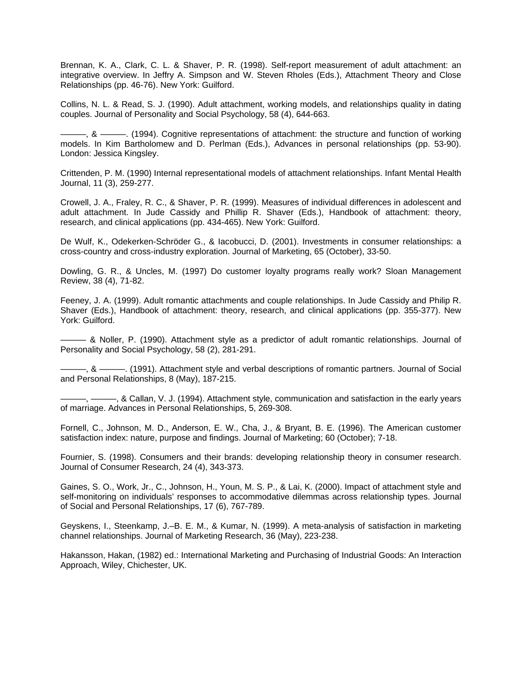Brennan, K. A., Clark, C. L. & Shaver, P. R. (1998). Self-report measurement of adult attachment: an integrative overview. In Jeffry A. Simpson and W. Steven Rholes (Eds.), Attachment Theory and Close Relationships (pp. 46-76). New York: Guilford.

Collins, N. L. & Read, S. J. (1990). Adult attachment, working models, and relationships quality in dating couples. Journal of Personality and Social Psychology, 58 (4), 644-663.

———, & ———. (1994). Cognitive representations of attachment: the structure and function of working models. In Kim Bartholomew and D. Perlman (Eds.), Advances in personal relationships (pp. 53-90). London: Jessica Kingsley.

Crittenden, P. M. (1990) Internal representational models of attachment relationships. Infant Mental Health Journal, 11 (3), 259-277.

Crowell, J. A., Fraley, R. C., & Shaver, P. R. (1999). Measures of individual differences in adolescent and adult attachment. In Jude Cassidy and Phillip R. Shaver (Eds.), Handbook of attachment: theory, research, and clinical applications (pp. 434-465). New York: Guilford.

De Wulf, K., Odekerken-Schröder G., & Iacobucci, D. (2001). Investments in consumer relationships: a cross-country and cross-industry exploration. Journal of Marketing, 65 (October), 33-50.

Dowling, G. R., & Uncles, M. (1997) Do customer loyalty programs really work? Sloan Management Review, 38 (4), 71-82.

Feeney, J. A. (1999). Adult romantic attachments and couple relationships. In Jude Cassidy and Philip R. Shaver (Eds.), Handbook of attachment: theory, research, and clinical applications (pp. 355-377). New York: Guilford.

——— & Noller, P. (1990). Attachment style as a predictor of adult romantic relationships. Journal of Personality and Social Psychology, 58 (2), 281-291.

———, & ———. (1991). Attachment style and verbal descriptions of romantic partners. Journal of Social and Personal Relationships, 8 (May), 187-215.

———, ———, & Callan, V. J. (1994). Attachment style, communication and satisfaction in the early years of marriage. Advances in Personal Relationships, 5, 269-308.

Fornell, C., Johnson, M. D., Anderson, E. W., Cha, J., & Bryant, B. E. (1996). The American customer satisfaction index: nature, purpose and findings. Journal of Marketing; 60 (October); 7-18.

Fournier, S. (1998). Consumers and their brands: developing relationship theory in consumer research. Journal of Consumer Research, 24 (4), 343-373.

Gaines, S. O., Work, Jr., C., Johnson, H., Youn, M. S. P., & Lai, K. (2000). Impact of attachment style and self-monitoring on individuals' responses to accommodative dilemmas across relationship types. Journal of Social and Personal Relationships, 17 (6), 767-789.

Geyskens, I., Steenkamp, J.–B. E. M., & Kumar, N. (1999). A meta-analysis of satisfaction in marketing channel relationships. Journal of Marketing Research, 36 (May), 223-238.

Hakansson, Hakan, (1982) ed.: International Marketing and Purchasing of Industrial Goods: An Interaction Approach, Wiley, Chichester, UK.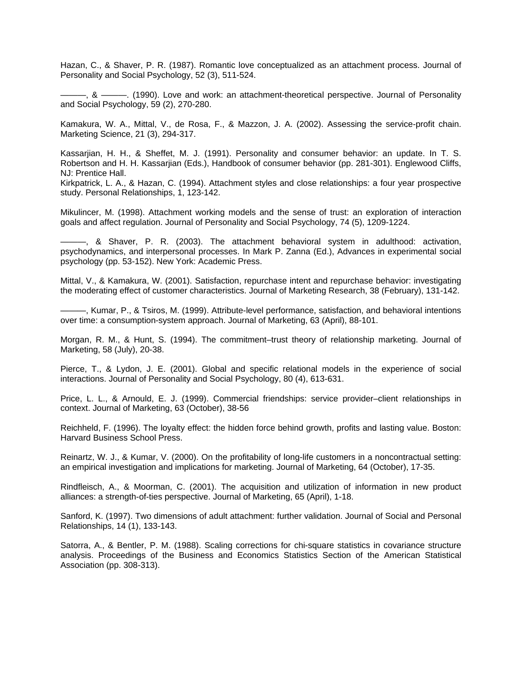Hazan, C., & Shaver, P. R. (1987). Romantic love conceptualized as an attachment process. Journal of Personality and Social Psychology, 52 (3), 511-524.

———, & ———. (1990). Love and work: an attachment-theoretical perspective. Journal of Personality and Social Psychology, 59 (2), 270-280.

Kamakura, W. A., Mittal, V., de Rosa, F., & Mazzon, J. A. (2002). Assessing the service-profit chain. Marketing Science, 21 (3), 294-317.

Kassarjian, H. H., & Sheffet, M. J. (1991). Personality and consumer behavior: an update. In T. S. Robertson and H. H. Kassarjian (Eds.), Handbook of consumer behavior (pp. 281-301). Englewood Cliffs, NJ: Prentice Hall.

Kirkpatrick, L. A., & Hazan, C. (1994). Attachment styles and close relationships: a four year prospective study. Personal Relationships, 1, 123-142.

Mikulincer, M. (1998). Attachment working models and the sense of trust: an exploration of interaction goals and affect regulation. Journal of Personality and Social Psychology, 74 (5), 1209-1224.

———, & Shaver, P. R. (2003). The attachment behavioral system in adulthood: activation, psychodynamics, and interpersonal processes. In Mark P. Zanna (Ed.), Advances in experimental social psychology (pp. 53-152). New York: Academic Press.

Mittal, V., & Kamakura, W. (2001). Satisfaction, repurchase intent and repurchase behavior: investigating the moderating effect of customer characteristics. Journal of Marketing Research, 38 (February), 131-142.

———, Kumar, P., & Tsiros, M. (1999). Attribute-level performance, satisfaction, and behavioral intentions over time: a consumption-system approach. Journal of Marketing, 63 (April), 88-101.

Morgan, R. M., & Hunt, S. (1994). The commitment–trust theory of relationship marketing. Journal of Marketing, 58 (July), 20-38.

Pierce, T., & Lydon, J. E. (2001). Global and specific relational models in the experience of social interactions. Journal of Personality and Social Psychology, 80 (4), 613-631.

Price, L. L., & Arnould, E. J. (1999). Commercial friendships: service provider–client relationships in context. Journal of Marketing, 63 (October), 38-56

Reichheld, F. (1996). The loyalty effect: the hidden force behind growth, profits and lasting value. Boston: Harvard Business School Press.

Reinartz, W. J., & Kumar, V. (2000). On the profitability of long-life customers in a noncontractual setting: an empirical investigation and implications for marketing. Journal of Marketing, 64 (October), 17-35.

Rindfleisch, A., & Moorman, C. (2001). The acquisition and utilization of information in new product alliances: a strength-of-ties perspective. Journal of Marketing, 65 (April), 1-18.

Sanford, K. (1997). Two dimensions of adult attachment: further validation. Journal of Social and Personal Relationships, 14 (1), 133-143.

Satorra, A., & Bentler, P. M. (1988). Scaling corrections for chi-square statistics in covariance structure analysis. Proceedings of the Business and Economics Statistics Section of the American Statistical Association (pp. 308-313).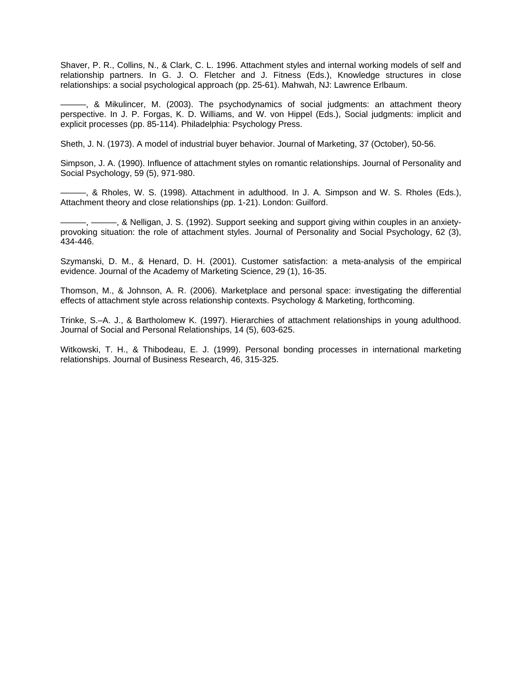Shaver, P. R., Collins, N., & Clark, C. L. 1996. Attachment styles and internal working models of self and relationship partners. In G. J. O. Fletcher and J. Fitness (Eds.), Knowledge structures in close relationships: a social psychological approach (pp. 25-61). Mahwah, NJ: Lawrence Erlbaum.

———, & Mikulincer, M. (2003). The psychodynamics of social judgments: an attachment theory perspective. In J. P. Forgas, K. D. Williams, and W. von Hippel (Eds.), Social judgments: implicit and explicit processes (pp. 85-114). Philadelphia: Psychology Press.

Sheth, J. N. (1973). A model of industrial buyer behavior. Journal of Marketing, 37 (October), 50-56.

Simpson, J. A. (1990). Influence of attachment styles on romantic relationships. Journal of Personality and Social Psychology, 59 (5), 971-980.

———, & Rholes, W. S. (1998). Attachment in adulthood. In J. A. Simpson and W. S. Rholes (Eds.), Attachment theory and close relationships (pp. 1-21). London: Guilford.

———, ———, & Nelligan, J. S. (1992). Support seeking and support giving within couples in an anxietyprovoking situation: the role of attachment styles. Journal of Personality and Social Psychology, 62 (3), 434-446.

Szymanski, D. M., & Henard, D. H. (2001). Customer satisfaction: a meta-analysis of the empirical evidence. Journal of the Academy of Marketing Science, 29 (1), 16-35.

Thomson, M., & Johnson, A. R. (2006). Marketplace and personal space: investigating the differential effects of attachment style across relationship contexts. Psychology & Marketing, forthcoming.

Trinke, S.–A. J., & Bartholomew K. (1997). Hierarchies of attachment relationships in young adulthood. Journal of Social and Personal Relationships, 14 (5), 603-625.

Witkowski, T. H., & Thibodeau, E. J. (1999). Personal bonding processes in international marketing relationships. Journal of Business Research, 46, 315-325.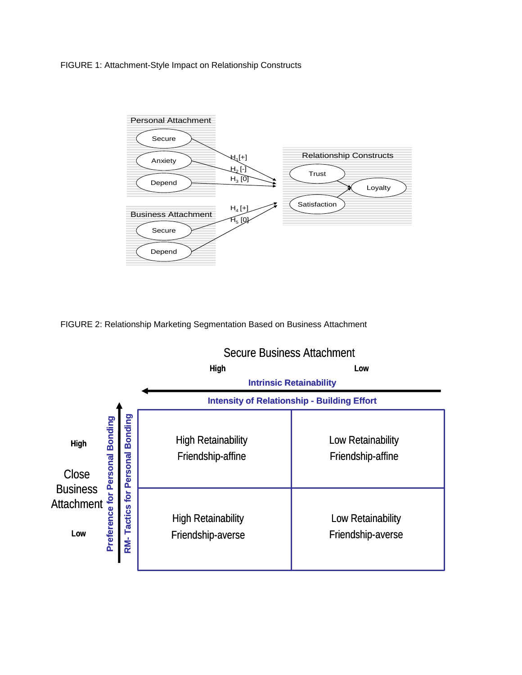FIGURE 1: Attachment-Style Impact on Relationship Constructs



FIGURE 2: Relationship Marketing Segmentation Based on Business Attachment

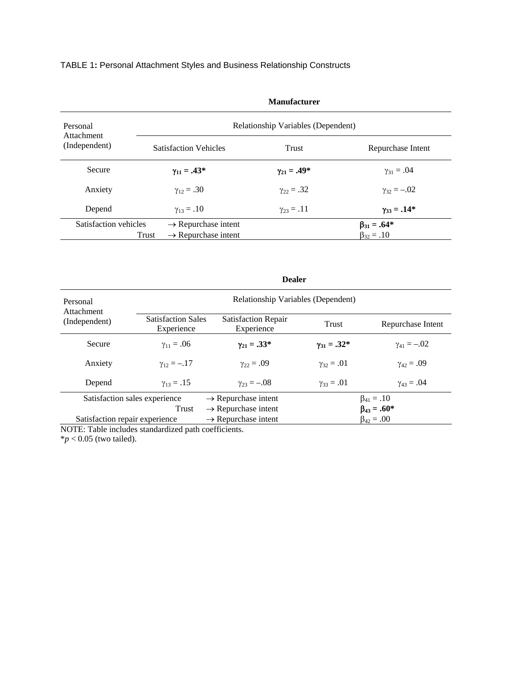# TABLE 1**:** Personal Attachment Styles and Business Relationship Constructs

| Personal<br>Attachment |                                          | Relationship Variables (Dependent) |                      |
|------------------------|------------------------------------------|------------------------------------|----------------------|
| (Independent)          | <b>Satisfaction Vehicles</b>             | Trust                              | Repurchase Intent    |
| <b>Secure</b>          | $\gamma_{11} = .43*$                     | $\gamma_{21} = .49*$               | $\gamma_{31} = .04$  |
| Anxiety                | $y_{12} = .30$                           | $\gamma_{22} = .32$                | $\gamma_{32} = -.02$ |
| Depend                 | $\gamma_{13} = .10$                      | $\gamma_{23} = .11$                | $\gamma_{33} = .14*$ |
| Satisfaction vehicles  | $\rightarrow$ Repurchase intent          |                                    | $\beta_{31} = .64*$  |
|                        | $\rightarrow$ Repurchase intent<br>Trust |                                    | $\beta_{32} = .10$   |

**Manufacturer**

**Dealer**

| Personal<br>Attachment         |                                         | Relationship Variables (Dependent)       |                       |                      |  |
|--------------------------------|-----------------------------------------|------------------------------------------|-----------------------|----------------------|--|
| (Independent)                  | <b>Satisfaction Sales</b><br>Experience | <b>Satisfaction Repair</b><br>Experience | Trust                 | Repurchase Intent    |  |
| Secure                         | $\gamma_{11} = .06$                     | $y_{21} = .33*$                          | $\gamma_{31} = .32^*$ | $\gamma_{41} = -.02$ |  |
| Anxiety                        | $\gamma_{12} = -.17$                    | $\gamma_{22} = .09$                      | $\gamma_{32} = .01$   | $\gamma_{42} = .09$  |  |
| Depend                         | $\gamma_{13} = .15$                     | $\gamma_{23} = -.08$                     | $\gamma_{33} = .01$   | $\gamma_{43} = .04$  |  |
| Satisfaction sales experience  |                                         | $\rightarrow$ Repurchase intent          |                       | $\beta_{41} = .10$   |  |
| Trust                          |                                         | $\rightarrow$ Repurchase intent          | $\beta_{43} = .60*$   |                      |  |
| Satisfaction repair experience |                                         | $\rightarrow$ Repurchase intent          |                       | $\beta_{42} = .00$   |  |

NOTE: Table includes standardized path coefficients.

 $**p* < 0.05$  (two tailed).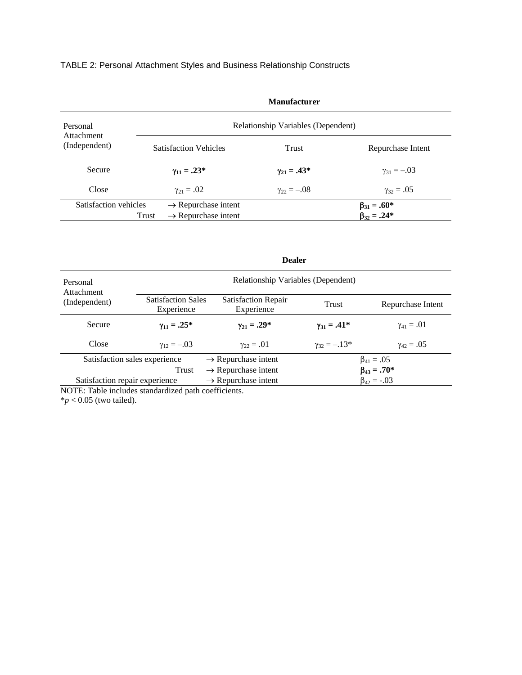# TABLE 2: Personal Attachment Styles and Business Relationship Constructs

| Personal<br>Attachment |                                          | Relationship Variables (Dependent) |                                              |
|------------------------|------------------------------------------|------------------------------------|----------------------------------------------|
| (Independent)          | <b>Satisfaction Vehicles</b>             | Trust                              | Repurchase Intent                            |
| Secure                 | $\gamma_{11} = .23^*$                    | $\gamma_{21} = .43*$               | $\gamma_{31} = -.03$                         |
| Close                  | $y_{21} = .02$                           | $\gamma_{22} = -.08$               | $y_{32} = .05$                               |
| Satisfaction vehicles  | $\rightarrow$ Repurchase intent          |                                    |                                              |
|                        | $\rightarrow$ Repurchase intent<br>Trust |                                    | $\beta_{31} = .60^*$<br>$\beta_{32} = .24^*$ |

**Manufacturer**

|                                |                                                                                     | <b>Dealer</b>                   |                       |                     |  |  |
|--------------------------------|-------------------------------------------------------------------------------------|---------------------------------|-----------------------|---------------------|--|--|
| Personal<br>Attachment         | Relationship Variables (Dependent)                                                  |                                 |                       |                     |  |  |
| (Independent)                  | <b>Satisfaction Sales</b><br><b>Satisfaction Repair</b><br>Experience<br>Experience |                                 | Trust                 | Repurchase Intent   |  |  |
| Secure                         | $\gamma_{11} = .25^*$                                                               | $\gamma_{21} = .29^*$           | $\gamma_{31} = .41^*$ | $\gamma_{41} = .01$ |  |  |
| Close                          | $y_{12} = -.03$                                                                     | $\gamma_{22} = .01$             | $\gamma_{32} = -.13*$ | $\gamma_{42} = .05$ |  |  |
|                                | Satisfaction sales experience                                                       | $\rightarrow$ Repurchase intent |                       | $\beta_{41} = .05$  |  |  |
|                                | Trust                                                                               | $\rightarrow$ Repurchase intent |                       | $\beta_{43} = .70*$ |  |  |
| Satisfaction repair experience |                                                                                     | $\rightarrow$ Repurchase intent |                       | $\beta_{42} = -.03$ |  |  |

NOTE: Table includes standardized path coefficients.  $**p* < 0.05$  (two tailed).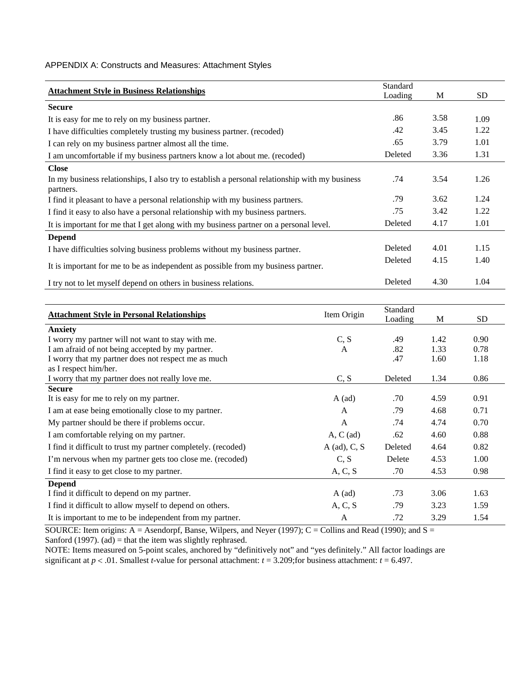### APPENDIX A: Constructs and Measures: Attachment Styles

| <b>Attachment Style in Business Relationships</b>                                              | Standard<br>Loading | M    | <b>SD</b> |
|------------------------------------------------------------------------------------------------|---------------------|------|-----------|
| <b>Secure</b>                                                                                  |                     |      |           |
| It is easy for me to rely on my business partner.                                              | .86                 | 3.58 | 1.09      |
| I have difficulties completely trusting my business partner. (recoded)                         | .42                 | 3.45 | 1.22      |
| I can rely on my business partner almost all the time.                                         | .65                 | 3.79 | 1.01      |
| I am uncomfortable if my business partners know a lot about me. (recoded)                      | Deleted             | 3.36 | 1.31      |
| <b>Close</b>                                                                                   |                     |      |           |
| In my business relationships, I also try to establish a personal relationship with my business | .74                 | 3.54 | 1.26      |
| partners.                                                                                      |                     |      |           |
| I find it pleasant to have a personal relationship with my business partners.                  | .79                 | 3.62 | 1.24      |
| I find it easy to also have a personal relationship with my business partners.                 | .75                 | 3.42 | 1.22      |
| It is important for me that I get along with my business partner on a personal level.          | Deleted             | 4.17 | 1.01      |
| <b>Depend</b>                                                                                  |                     |      |           |
| I have difficulties solving business problems without my business partner.                     | Deleted             | 4.01 | 1.15      |
| It is important for me to be as independent as possible from my business partner.              | Deleted             | 4.15 | 1.40      |
| I try not to let myself depend on others in business relations.                                | Deleted             | 4.30 | 1.04      |

|                                                               |                  | Standard |      |      |
|---------------------------------------------------------------|------------------|----------|------|------|
| <b>Attachment Style in Personal Relationships</b>             | Item Origin      | Loading  | M    | SD.  |
| <b>Anxiety</b>                                                |                  |          |      |      |
| I worry my partner will not want to stay with me.             | C, S             | .49      | 1.42 | 0.90 |
| I am afraid of not being accepted by my partner.              | $\mathbf{A}$     | .82      | 1.33 | 0.78 |
| I worry that my partner does not respect me as much           |                  | .47      | 1.60 | 1.18 |
| as I respect him/her.                                         |                  |          |      |      |
| I worry that my partner does not really love me.              | C, S             | Deleted  | 1.34 | 0.86 |
| <b>Secure</b>                                                 |                  |          |      |      |
| It is easy for me to rely on my partner.                      | $A$ (ad)         | .70      | 4.59 | 0.91 |
| I am at ease being emotionally close to my partner.           | A                | .79      | 4.68 | 0.71 |
| My partner should be there if problems occur.                 | $\mathsf{A}$     | .74      | 4.74 | 0.70 |
| I am comfortable relying on my partner.                       | $A, C$ (ad)      | .62      | 4.60 | 0.88 |
| I find it difficult to trust my partner completely. (recoded) | $A$ (ad), $C, S$ | Deleted  | 4.64 | 0.82 |
| I'm nervous when my partner gets too close me. (recoded)      | C, S             | Delete   | 4.53 | 1.00 |
| I find it easy to get close to my partner.                    | A, C, S          | .70      | 4.53 | 0.98 |
| <b>Depend</b>                                                 |                  |          |      |      |
| I find it difficult to depend on my partner.                  | $A$ (ad)         | .73      | 3.06 | 1.63 |
| I find it difficult to allow myself to depend on others.      | A, C, S          | .79      | 3.23 | 1.59 |
| It is important to me to be independent from my partner.      | A                | .72      | 3.29 | 1.54 |

SOURCE: Item origins: A = Asendorpf, Banse, Wilpers, and Neyer (1997); C = Collins and Read (1990); and S = Sanford (1997). (ad) = that the item was slightly rephrased.

NOTE: Items measured on 5-point scales, anchored by "definitively not" and "yes definitely." All factor loadings are significant at  $p < .01$ . Smallest *t*-value for personal attachment:  $t = 3.209$ ; for business attachment:  $t = 6.497$ .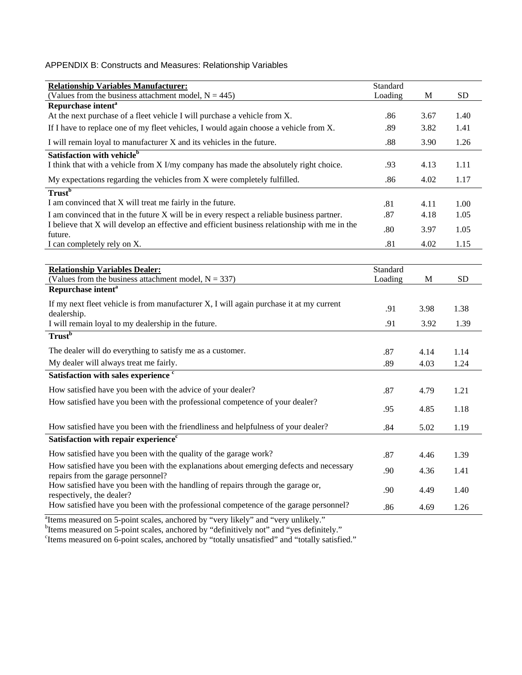# APPENDIX B: Constructs and Measures: Relationship Variables

| <b>Relationship Variables Manufacturer:</b>                                                                           | Standard |             |           |
|-----------------------------------------------------------------------------------------------------------------------|----------|-------------|-----------|
| (Values from the business attachment model, $N = 445$ )                                                               | Loading  | М           | <b>SD</b> |
| Repurchase intent <sup>a</sup>                                                                                        |          |             |           |
| At the next purchase of a fleet vehicle I will purchase a vehicle from X.                                             | .86      | 3.67        | 1.40      |
| If I have to replace one of my fleet vehicles, I would again choose a vehicle from X.                                 | .89      | 3.82        | 1.41      |
| I will remain loyal to manufacturer X and its vehicles in the future.                                                 | .88      | 3.90        | 1.26      |
| Satisfaction with vehicle <sup>b</sup>                                                                                |          |             |           |
| I think that with a vehicle from X I/my company has made the absolutely right choice.                                 | .93      | 4.13        | 1.11      |
| My expectations regarding the vehicles from X were completely fulfilled.                                              | .86      | 4.02        | 1.17      |
| <b>Trust</b> <sup>b</sup>                                                                                             |          |             |           |
| I am convinced that X will treat me fairly in the future.                                                             | .81      | 4.11        | 1.00      |
| I am convinced that in the future X will be in every respect a reliable business partner.                             | .87      | 4.18        | 1.05      |
| I believe that X will develop an effective and efficient business relationship with me in the                         | .80      | 3.97        | 1.05      |
| future.<br>I can completely rely on X.                                                                                | .81      | 4.02        | 1.15      |
|                                                                                                                       |          |             |           |
| <b>Relationship Variables Dealer:</b>                                                                                 | Standard |             |           |
| (Values from the business attachment model, $N = 337$ )                                                               | Loading  | $\mathbf M$ | <b>SD</b> |
| Repurchase intent <sup>a</sup>                                                                                        |          |             |           |
| If my next fleet vehicle is from manufacturer $X$ , I will again purchase it at my current                            | .91      | 3.98        | 1.38      |
| dealership.                                                                                                           |          |             |           |
| I will remain loyal to my dealership in the future.                                                                   | .91      | 3.92        | 1.39      |
| Trust <sup>b</sup>                                                                                                    |          |             |           |
| The dealer will do everything to satisfy me as a customer.                                                            | .87      | 4.14        | 1.14      |
| My dealer will always treat me fairly.                                                                                | .89      | 4.03        | 1.24      |
| Satisfaction with sales experience <sup>c</sup>                                                                       |          |             |           |
| How satisfied have you been with the advice of your dealer?                                                           | .87      | 4.79        | 1.21      |
| How satisfied have you been with the professional competence of your dealer?                                          |          |             |           |
|                                                                                                                       | .95      | 4.85        | 1.18      |
| How satisfied have you been with the friendliness and helpfulness of your dealer?                                     | .84      | 5.02        | 1.19      |
| Satisfaction with repair experience <sup>c</sup>                                                                      |          |             |           |
| How satisfied have you been with the quality of the garage work?                                                      | .87      | 4.46        | 1.39      |
| How satisfied have you been with the explanations about emerging defects and necessary                                | .90      | 4.36        | 1.41      |
| repairs from the garage personnel?<br>How satisfied have you been with the handling of repairs through the garage or, |          |             |           |
| respectively, the dealer?                                                                                             | .90      | 4.49        | 1.40      |
| How satisfied have you been with the professional competence of the garage personnel?                                 | .86      | 4.69        | 1.26      |

arrow measured on 5-point scales, anchored by "very likely" and "very unlikely."<br>between measured on 5-point scales, anchored by "definitively not" and "yes definitely."<br>"Items measured on 6-point scales, anchored by "tota